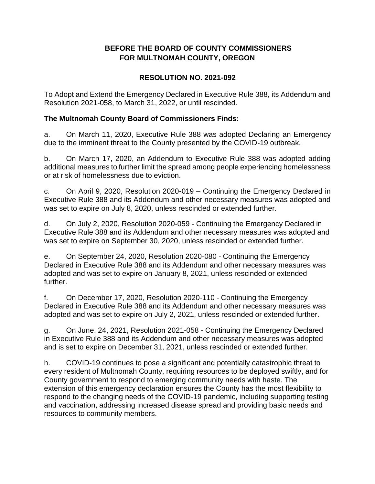## **BEFORE THE BOARD OF COUNTY COMMISSIONERS FOR MULTNOMAH COUNTY, OREGON**

# **RESOLUTION NO. 2021-092**

To Adopt and Extend the Emergency Declared in Executive Rule 388, its Addendum and Resolution 2021-058, to March 31, 2022, or until rescinded.

### **The Multnomah County Board of Commissioners Finds:**

a. On March 11, 2020, Executive Rule 388 was adopted Declaring an Emergency due to the imminent threat to the County presented by the COVID-19 outbreak.

b. On March 17, 2020, an Addendum to Executive Rule 388 was adopted adding additional measures to further limit the spread among people experiencing homelessness or at risk of homelessness due to eviction.

c. On April 9, 2020, Resolution 2020-019 – Continuing the Emergency Declared in Executive Rule 388 and its Addendum and other necessary measures was adopted and was set to expire on July 8, 2020, unless rescinded or extended further.

d. On July 2, 2020, Resolution 2020-059 - Continuing the Emergency Declared in Executive Rule 388 and its Addendum and other necessary measures was adopted and was set to expire on September 30, 2020, unless rescinded or extended further.

e. On September 24, 2020, Resolution 2020-080 - Continuing the Emergency Declared in Executive Rule 388 and its Addendum and other necessary measures was adopted and was set to expire on January 8, 2021, unless rescinded or extended further.

f. On December 17, 2020, Resolution 2020-110 - Continuing the Emergency Declared in Executive Rule 388 and its Addendum and other necessary measures was adopted and was set to expire on July 2, 2021, unless rescinded or extended further.

g. On June, 24, 2021, Resolution 2021-058 - Continuing the Emergency Declared in Executive Rule 388 and its Addendum and other necessary measures was adopted and is set to expire on December 31, 2021, unless rescinded or extended further.

h. COVID-19 continues to pose a significant and potentially catastrophic threat to every resident of Multnomah County, requiring resources to be deployed swiftly, and for County government to respond to emerging community needs with haste. The extension of this emergency declaration ensures the County has the most flexibility to respond to the changing needs of the COVID-19 pandemic, including supporting testing and vaccination, addressing increased disease spread and providing basic needs and resources to community members.